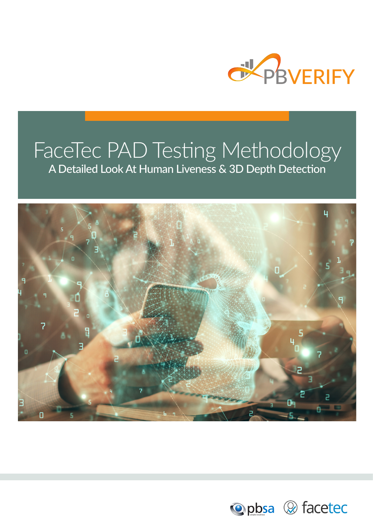

# FaceTec PAD Testing Methodology A Detailed Look At Human Liveness & 3D Depth Detection



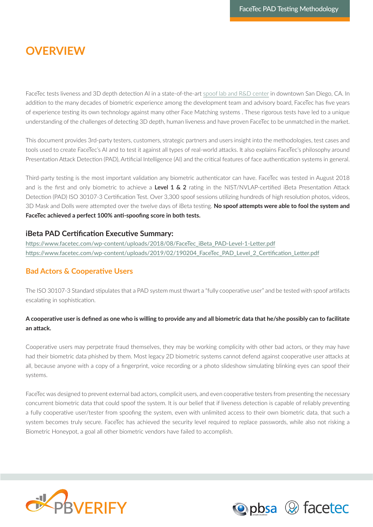# **OVERVIEW**

FaceTec tests liveness and 3D depth detection AI in a state-of-the-art [spoof lab and R&D center](http://spoof lab and R&D center) in downtown San Diego, CA. In addition to the many decades of biometric experience among the development team and advisory board, FaceTec has five years of experience testing its own technology against many other Face Matching systems . These rigorous tests have led to a unique understanding of the challenges of detecting 3D depth, human liveness and have proven FaceTec to be unmatched in the market.

This document provides 3rd-party testers, customers, strategic partners and users insight into the methodologies, test cases and tools used to create FaceTec's AI and to test it against all types of real-world attacks. It also explains FaceTec's philosophy around Presentation Attack Detection (PAD), Artificial Intelligence (AI) and the critical features of face authentication systems in general.

Third-party testing is the most important validation any biometric authenticator can have. FaceTec was tested in August 2018 and is the first and only biometric to achieve a **Level 1 & 2** rating in the NIST/NVLAP-certified iBeta Presentation Attack Detection (PAD) ISO 30107-3 Certification Test. Over 3,300 spoof sessions utilizing hundreds of high resolution photos, videos, 3D Mask and Dolls were attempted over the twelve days of iBeta testing. **No spoof attempts were able to fool the system and FaceTec achieved a perfect 100% anti-spoofing score in both tests.**

#### **iBeta PAD Certification Executive Summary:**

[https://www.facetec.com/wp-content/uploads/2018/08/FaceTec\\_iBeta\\_PAD-Level-1-Letter.pdf](https://www.facetec.com/wp-content/uploads/2018/08/FaceTec_iBeta_PAD-Level-1-Letter.pdf) [https://www.facetec.com/wp-content/uploads/2019/02/190204\\_FaceTec\\_PAD\\_Level\\_2\\_Certification\\_Letter.pdf](https://www.facetec.com/wp-content/uploads/2019/02/190204_FaceTec_PAD_Level_2_Certification_Letter.p)

## **Bad Actors & Cooperative Users**

The ISO 30107-3 Standard stipulates that a PAD system must thwart a "fully cooperative user" and be tested with spoof artifacts escalating in sophistication.

### **A cooperative user is defined as one who is willing to provide any and all biometric data that he/she possibly can to facilitate an attack.**

Cooperative users may perpetrate fraud themselves, they may be working complicity with other bad actors, or they may have had their biometric data phished by them. Most legacy 2D biometric systems cannot defend against cooperative user attacks at all, because anyone with a copy of a fingerprint, voice recording or a photo slideshow simulating blinking eyes can spoof their systems.

FaceTec was designed to prevent external bad actors, complicit users, and even cooperative testers from presenting the necessary concurrent biometric data that could spoof the system. It is our belief that if liveness detection is capable of reliably preventing a fully cooperative user/tester from spoofing the system, even with unlimited access to their own biometric data, that such a system becomes truly secure. FaceTec has achieved the security level required to replace passwords, while also not risking a Biometric Honeypot, a goal all other biometric vendors have failed to accomplish.



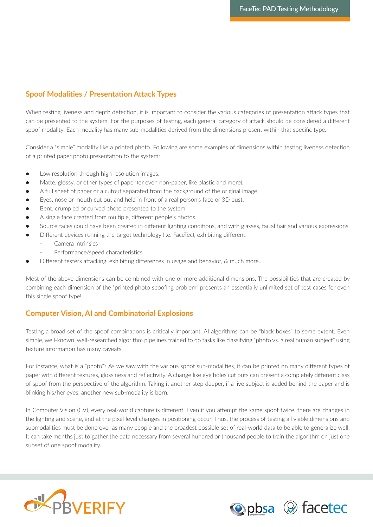# **Spoof Modalities / Presentation Attack Types**

When testing liveness and depth detection, it is important to consider the various categories of presentation attack types that can be presented to the system. For the purposes of testing, each general category of attack should be considered a different spoof modality. Each modality has many sub-modalities derived from the dimensions present within that specific type.

Consider a "simple" modality like a printed photo. Following are some examples of dimensions within testing liveness detection of a printed paper photo presentation to the system:

- Low resolution through high resolution images.
- Matte, glossy, or other types of paper (or even non-paper, like plastic and more).
- A full sheet of paper or a cutout separated from the background of the original image.
- Eyes, nose or mouth cut out and held in front of a real person's face or 3D bust.
- Bent, crumpled or curved photo presented to the system.
- A single face created from multiple, different people's photos.
- Source faces could have been created in different lighting conditions, and with glasses, facial hair and various expressions.
- Different devices running the target technology (i.e. FaceTec), exhibiting different:
	- Camera intrinsics
		- Performance/speed characteristics
- Different testers attacking, exhibiting differences in usage and behavior, & much more...

Most of the above dimensions can be combined with one or more additional dimensions. The possibilities that are created by combining each dimension of the "printed photo spoofing problem" presents an essentially unlimited set of test cases for even this single spoof type!

# **Computer Vision, AI and Combinatorial Explosions**

Testing a broad set of the spoof combinations is critically important. AI algorithms can be "black boxes" to some extent. Even simple, well-known, well-researched algorithm pipelines trained to do tasks like classifying "photo vs. a real human subject" using texture information has many caveats.

For instance, what is a "photo"? As we saw with the various spoof sub-modalities, it can be printed on many different types of paper with different textures, glossiness and reflectivity. A change like eye holes cut outs can present a completely different class of spoof from the perspective of the algorithm. Taking it another step deeper, if a live subject is added behind the paper and is blinking his/her eyes, another new sub-modality is born.

In Computer Vision (CV), every real-world capture is different. Even if you attempt the same spoof twice, there are changes in the lighting and scene, and at the pixel level changes in positioning occur. Thus, the process of testing all viable dimensions and submodalities must be done over as many people and the broadest possible set of real-world data to be able to generalize well. It can take months just to gather the data necessary from several hundred or thousand people to train the algorithm on just one subset of one spoof modality.



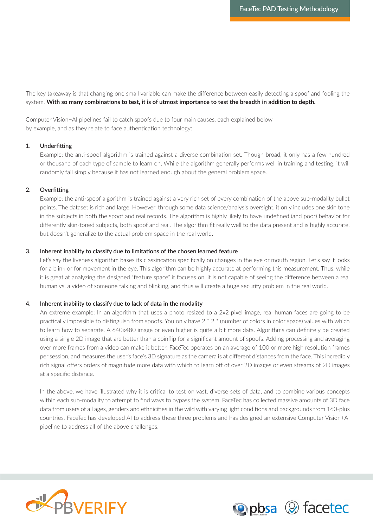The key takeaway is that changing one small variable can make the difference between easily detecting a spoof and fooling the system. **With so many combinations to test, it is of utmost importance to test the breadth in addition to depth.**

Computer Vision+AI pipelines fail to catch spoofs due to four main causes, each explained below by example, and as they relate to face authentication technology:

#### **1. Underfitting**

Example: the anti-spoof algorithm is trained against a diverse combination set. Though broad, it only has a few hundred or thousand of each type of sample to learn on. While the algorithm generally performs well in training and testing, it will randomly fail simply because it has not learned enough about the general problem space.

#### **2. Overfitting**

Example: the anti-spoof algorithm is trained against a very rich set of every combination of the above sub-modality bullet points. The dataset is rich and large. However, through some data science/analysis oversight, it only includes one skin tone in the subjects in both the spoof and real records. The algorithm is highly likely to have undefined (and poor) behavior for differently skin-toned subjects, both spoof and real. The algorithm fit really well to the data present and is highly accurate, but doesn't generalize to the actual problem space in the real world.

#### **3. Inherent inability to classify due to limitations of the chosen learned feature**

Let's say the liveness algorithm bases its classification specifically on changes in the eye or mouth region. Let's say it looks for a blink or for movement in the eye. This algorithm can be highly accurate at performing this measurement. Thus, while it is great at analyzing the designed "feature space" it focuses on, it is not capable of seeing the difference between a real human vs. a video of someone talking and blinking, and thus will create a huge security problem in the real world.

#### **4. Inherent inability to classify due to lack of data in the modality**

An extreme example: In an algorithm that uses a photo resized to a 2x2 pixel image, real human faces are going to be practically impossible to distinguish from spoofs. You only have 2 \* 2 \* (number of colors in color space) values with which to learn how to separate. A 640x480 image or even higher is quite a bit more data. Algorithms can definitely be created using a single 2D image that are better than a coinflip for a significant amount of spoofs. Adding processing and averaging over more frames from a video can make it better. FaceTec operates on an average of 100 or more high resolution frames per session, and measures the user's face's 3D signature as the camera is at different distances from the face. This incredibly rich signal offers orders of magnitude more data with which to learn off of over 2D images or even streams of 2D images at a specific distance.

In the above, we have illustrated why it is critical to test on vast, diverse sets of data, and to combine various concepts within each sub-modality to attempt to find ways to bypass the system. FaceTec has collected massive amounts of 3D face data from users of all ages, genders and ethnicities in the wild with varying light conditions and backgrounds from 160-plus countries. FaceTec has developed AI to address these three problems and has designed an extensive Computer Vision+AI pipeline to address all of the above challenges.



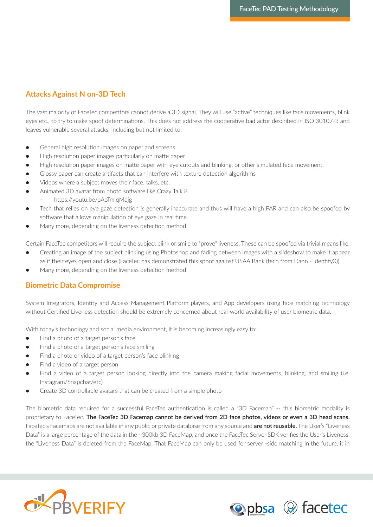# **Attacks Against N on-3D Tech**

The vast majority of FaceTec competitors cannot derive a 3D signal. They will use "active" techniques like face movements, blink eyes etc., to try to make spoof determinations. This does not address the cooperative bad actor described in ISO 30107-3 and leaves vulnerable several attacks, including but not limited to:

- General high resolution images on paper and screens
- High resolution paper images particularly on matte paper
- High resolution paper images on matte paper with eye cutouts and blinking, or other simulated face movement.
- Glossy paper can create artifacts that can interfere with texture detection algorithms
- Videos where a subject moves their face, talks, etc.
- Animated 3D avatar from photo software like Crazy Talk 8
	- https://youtu.be/pAoTmlqMqjg
- Tech that relies on eye gaze detection is generally inaccurate and thus will have a high FAR and can also be spoofed by software that allows manipulation of eye gaze in real time.
- Many more, depending on the liveness detection method

Certain FaceTec competitors will require the subject blink or smile to "prove" liveness. These can be spoofed via trivial means like:

- Creating an image of the subject blinking using Photoshop and fading between images with a slideshow to make it appear
- as if their eyes open and close (FaceTec has demonstrated this spoof against USAA Bank (tech from Daon IdentityX))
- Many more, depending on the liveness detection method

#### **Biometric Data Compromise**

System Integrators, Identity and Access Management Platform players, and App developers using face matching technology without Certified Liveness detection should be extremely concerned about real-world availability of user biometric data.

With today's technology and social media environment, it is becoming increasingly easy to:

- Find a photo of a target person's face
- Find a photo of a target person's face smiling
- Find a photo or video of a target person's face blinking
- Find a video of a target person
- Find a video of a target person looking directly into the camera making facial movements, blinking, and smiling (i.e. Instagram/Snapchat/etc)
- Create 3D controllable avatars that can be created from a simple photo

The biometric data required for a successful FaceTec authentication is called a "3D Facemap" -- this biometric modality is proprietary to FaceTec. **The FaceTec 3D Facemap cannot be derived from 2D face photos, videos or even a 3D head scans.** FaceTec's Facemaps are not available in any public or private database from any source and **are not reusable.** The User's "Liveness Data" is a large percentage of the data in the ~300kb 3D FaceMap, and once the FaceTec Server SDK verifies the User's Liveness, the "Liveness Data" is deleted from the FaceMap. That FaceMap can only be used for server -side matching in the future, it in



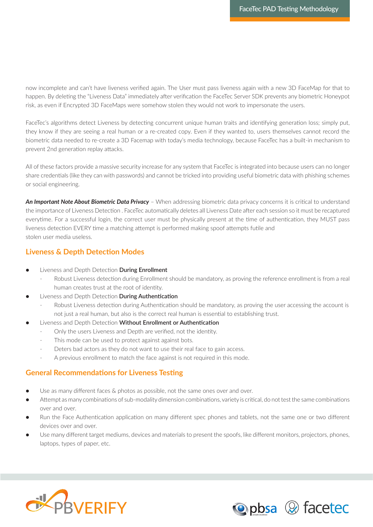now incomplete and can't have liveness verified again. The User must pass liveness again with a new 3D FaceMap for that to happen. By deleting the "Liveness Data" immediately after verification the FaceTec Server SDK prevents any biometric Honeypot risk, as even if Encrypted 3D FaceMaps were somehow stolen they would not work to impersonate the users.

FaceTec's algorithms detect Liveness by detecting concurrent unique human traits and identifying generation loss; simply put, they know if they are seeing a real human or a re-created copy. Even if they wanted to, users themselves cannot record the biometric data needed to re-create a 3D Facemap with today's media technology, because FaceTec has a built-in mechanism to prevent 2nd generation replay attacks.

All of these factors provide a massive security increase for any system that FaceTec is integrated into because users can no longer share credentials (like they can with passwords) and cannot be tricked into providing useful biometric data with phishing schemes or social engineering.

*An Important Note About Biometric Data Privacy* – When addressing biometric data privacy concerns it is critical to understand the importance of Liveness Detection . FaceTec automatically deletes all Liveness Date after each session so it must be recaptured everytime. For a successful login, the correct user must be physically present at the time of authentication, they MUST pass liveness detection EVERY time a matching attempt is performed making spoof attempts futile and stolen user media useless.

# **Liveness & Depth Detection Modes**

- **Liveness and Depth Detection During Enrollment** 
	- Robust Liveness detection during Enrollment should be mandatory, as proving the reference enrollment is from a real human creates trust at the root of identity.
- Liveness and Depth Detection **During Authentication**
	- Robust Liveness detection during Authentication should be mandatory, as proving the user accessing the account is not just a real human, but also is the correct real human is essential to establishing trust.
- Liveness and Depth Detection **Without Enrollment or Authentication**
	- Only the users Liveness and Depth are verified, not the identity.
	- This mode can be used to protect against against bots.
	- Deters bad actors as they do not want to use their real face to gain access.
	- A previous enrollment to match the face against is not required in this mode.

#### **General Recommendations for Liveness Testing**

- Use as many different faces  $\&$  photos as possible, not the same ones over and over.
- Attempt as many combinations of sub-modality dimension combinations, variety is critical, do not test the same combinations over and over.
- Run the Face Authentication application on many different spec phones and tablets, not the same one or two different devices over and over.
- Use many different target mediums, devices and materials to present the spoofs, like different monitors, projectors, phones, laptops, types of paper, etc.



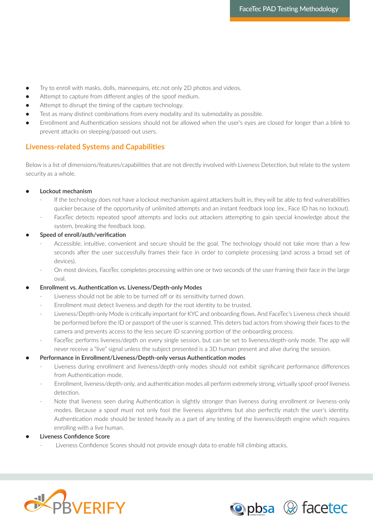- Try to enroll with masks, dolls, mannequins, etc.not only 2D photos and videos.
- Attempt to capture from different angles of the spoof medium.
- Attempt to disrupt the timing of the capture technology.
- Test as many distinct combinations from every modality and its submodality as possible.
- Enrollment and Authentication sessions should not be allowed when the user's eyes are closed for longer than a blink to prevent attacks on sleeping/passed-out users.

# **Liveness-related Systems and Capabilities**

Below is a list of dimensions/features/capabilities that are not directly involved with Liveness Detection, but relate to the system security as a whole.

#### **● Lockout mechanism**

- If the technology does not have a lockout mechanism against attackers built in, they will be able to find vulnerabilities quicker because of the opportunity of unlimited attempts and an instant feedback loop (ex., Face ID has no lockout).
- FaceTec detects repeated spoof attempts and locks out attackers attempting to gain special knowledge about the system, breaking the feedback loop.
- **Speed of enroll/auth/verification**
	- Accessible, intuitive, convenient and secure should be the goal. The technology should not take more than a few seconds after the user successfully frames their face in order to complete processing (and across a broad set of devices).
	- On most devices, FaceTec completes processing within one or two seconds of the user framing their face in the large oval.
- **Enrollment vs. Authentication vs. Liveness/Depth-only Modes**
	- Liveness should not be able to be turned off or its sensitivity turned down.
	- Enrollment must detect liveness and depth for the root identity to be trusted.
	- Liveness/Depth-only Mode is critically important for KYC and onboarding flows. And FaceTec's Liveness check should be performed before the ID or passport of the user is scanned. This deters bad actors from showing their faces to the camera and prevents access to the less secure ID scanning portion of the onboarding process.
	- FaceTec performs liveness/depth on every single session, but can be set to liveness/depth-only mode. The app will never receive a "live" signal unless the subject presented is a 3D human present and alive during the session.
- **Performance in Enrollment/Liveness/Depth-only versus Authentication modes**
	- Liveness during enrollment and liveness/depth-only modes should not exhibit significant performance differences from Authentication mode.
	- Enrollment, liveness/depth-only, and authentication modes all perform extremely strong, virtually spoof-proof liveness detection.
	- Note that liveness seen during Authentication is slightly stronger than liveness during enrollment or liveness-only modes. Because a spoof must not only fool the liveness algorithms but also perfectly match the user's identity. Authentication mode should be tested heavily as a part of any testing of the liveness/depth engine which requires enrolling with a live human.

#### **● Liveness Confidence Score**

Liveness Confidence Scores should not provide enough data to enable hill climbing attacks.



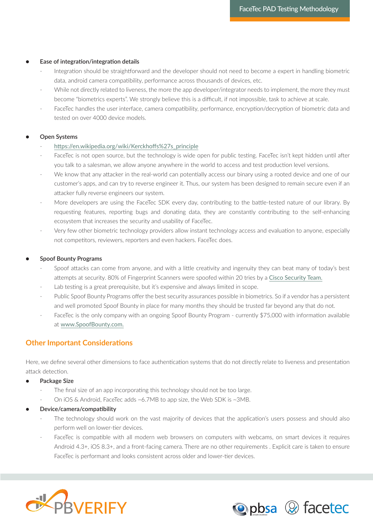**● Ease of integration/integration details**

- Integration should be straightforward and the developer should not need to become a expert in handling biometric data, android camera compatibility, performance across thousands of devices, etc.
- While not directly related to liveness, the more the app developer/integrator needs to implement, the more they must become "biometrics experts". We strongly believe this is a difficult, if not impossible, task to achieve at scale.
- FaceTec handles the user interface, camera compatibility, performance, encryption/decryption of biometric data and tested on over 4000 device models.

#### **● Open Systems**

- [https://en.wikipedia.org/wiki/Kerckhoffs%27s\\_principle](https://en.wikipedia.org/wiki/Kerckhoffs%27s_principle)
- FaceTec is not open source, but the technology is wide open for public testing. FaceTec isn't kept hidden until after you talk to a salesman, we allow anyone anywhere in the world to access and test production level versions.
- We know that any attacker in the real-world can potentially access our binary using a rooted device and one of our customer's apps, and can try to reverse engineer it. Thus, our system has been designed to remain secure even if an attacker fully reverse engineers our system.
- More developers are using the FaceTec SDK every day, contributing to the battle-tested nature of our library. By requesting features, reporting bugs and donating data, they are constantly contributing to the self-enhancing ecosystem that increases the security and usability of FaceTec.
- Very few other biometric technology providers allow instant technology access and evaluation to anyone, especially not competitors, reviewers, reporters and even hackers. FaceTec does.

#### **● Spoof Bounty Programs**

- Spoof attacks can come from anyone, and with a little creativity and ingenuity they can beat many of today's best attempts at security. 80% of Fingerprint Scanners were spoofed within 20 tries by a [Cisco Security Team.](http://Cisco Security Team.)
- Lab testing is a great prerequisite, but it's expensive and always limited in scope.
- Public Spoof Bounty Programs offer the best security assurances possible in biometrics. So if a vendor has a persistent and well promoted Spoof Bounty in place for many months they should be trusted far beyond any that do not.
- FaceTec is the only company with an ongoing Spoof Bounty Program currently \$75,000 with information available at [www.SpoofBounty.com.](http://www.SpoofBounty.com.)

#### **Other Important Considerations**

Here, we define several other dimensions to face authentication systems that do not directly relate to liveness and presentation attack detection.

- **Package Size**
	- The final size of an app incorporating this technology should not be too large.
	- On iOS & Android, FaceTec adds ~6.7MB to app size, the Web SDK is ~3MB.
- **Device/camera/compatibility**
	- The technology should work on the vast majority of devices that the application's users possess and should also perform well on lower-tier devices.
	- FaceTec is compatible with all modern web browsers on computers with webcams, on smart devices it requires Android 4.3+, iOS 8.3+, and a front-facing camera. There are no other requirements . Explicit care is taken to ensure FaceTec is performant and looks consistent across older and lower-tier devices.